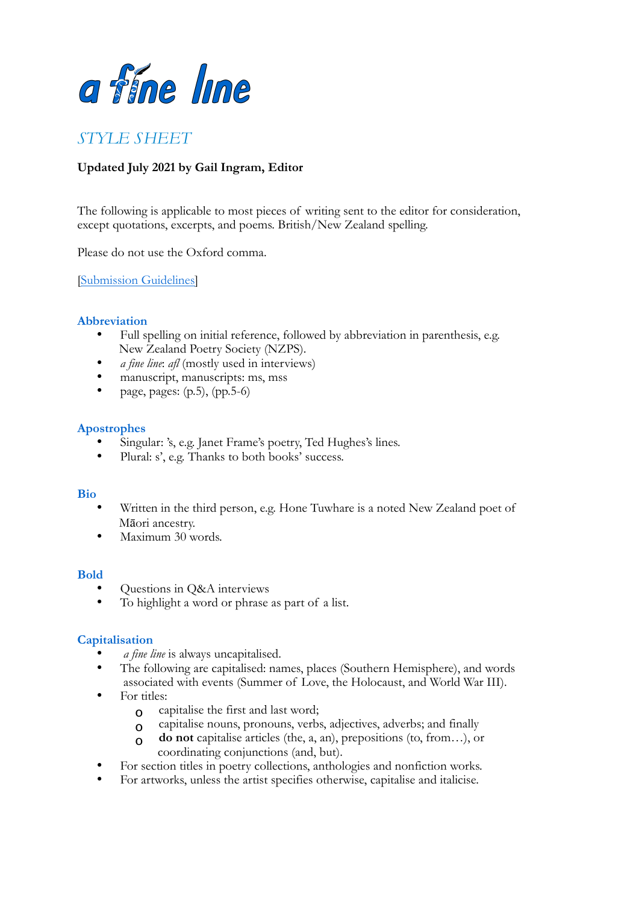

# *STYLE SHEET*

## **Updated July 2021 by Gail Ingram, Editor**

The following is applicable to most pieces of writing sent to the editor for consideration, except quotations, excerpts, and poems. British/New Zealand spelling.

Please do not use the Oxford comma.

[\[Submission Guidelines\]](https://poetrysociety.org.nz/poems-reviews/a-fine-line-quarterly-magazine/#publicationguidelines)

#### **Abbreviation**

- Full spelling on initial reference, followed by abbreviation in parenthesis, e.g. New Zealand Poetry Society (NZPS).
- *a fine line*: *afl* (mostly used in interviews)
- manuscript, manuscripts: ms, mss
- page, pages:  $(p.5)$ ,  $(pp.5-6)$

#### **Apostrophes**

- Singular: 's, e.g. Janet Frame's poetry, Ted Hughes's lines.
- Plural: s', e.g. Thanks to both books' success.

#### **Bio**

- Written in the third person, e.g. Hone Tuwhare is a noted New Zealand poet of Māori ancestry.
- Maximum 30 words.

#### **Bold**

- Questions in Q&A interviews
- To highlight a word or phrase as part of a list.

#### **Capitalisation**

- *a fine line* is always uncapitalised.
- The following are capitalised: names, places (Southern Hemisphere), and words associated with events (Summer of Love, the Holocaust, and World War III).
- For titles:
	- o capitalise the first and last word;
	- o capitalise nouns, pronouns, verbs, adjectives, adverbs; and finally
	- o **do not** capitalise articles (the, a, an), prepositions (to, from…), or coordinating conjunctions (and, but).
- For section titles in poetry collections, anthologies and nonfiction works.
- For artworks, unless the artist specifies otherwise, capitalise and italicise.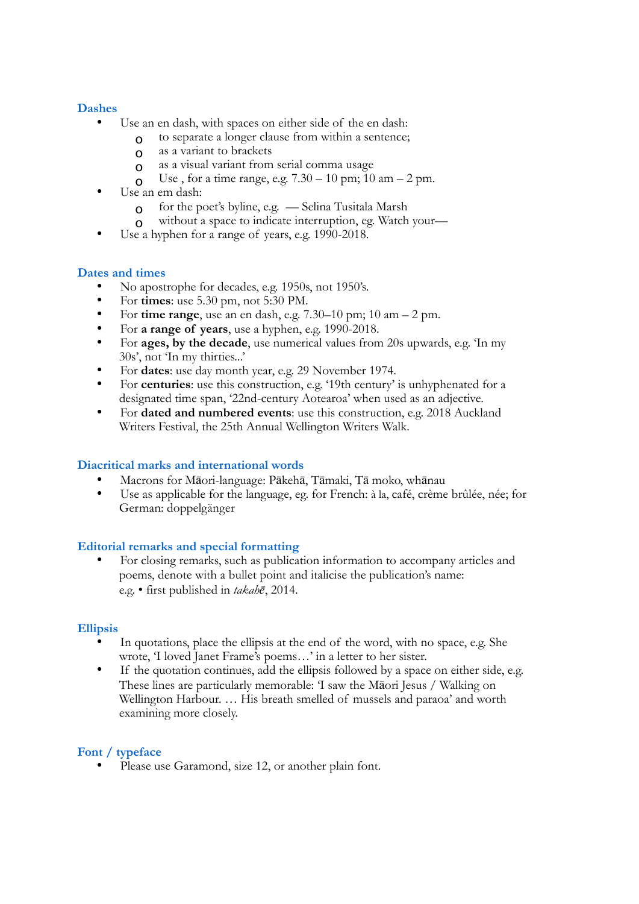## **Dashes**

- Use an en dash, with spaces on either side of the en dash:
	- $\alpha$  to separate a longer clause from within a sentence;
	- o as a variant to brackets
	- o as a visual variant from serial comma usage
	- O Use, for a time range, e.g.  $7.30 10$  pm;  $10$  am  $2$  pm.
- Use an em dash:
	- $\Omega$  for the poet's byline, e.g. Selina Tusitala Marsh
	- o without a space to indicate interruption, eg. Watch your—
- Use a hyphen for a range of years, e.g. 1990-2018.

## **Dates and times**

- No apostrophe for decades, e.g.  $1950s$ , not  $1950s$ .<br>• For times: use 5.30 pm, not  $5:30$  PM
- For **times**: use 5.30 pm, not 5:30 PM.
- For **time range**, use an en dash, e.g. 7.30–10 pm; 10 am 2 pm.
- For **a range of years**, use a hyphen, e.g. 1990-2018.
- For **ages, by the decade**, use numerical values from 20s upwards, e.g. 'In my 30s', not 'In my thirties...'
- For **dates**: use day month year, e.g. 29 November 1974.
- For **centuries**: use this construction, e.g. '19th century' is unhyphenated for a designated time span, '22nd-century Aotearoa' when used as an adjective.
- For **dated and numbered events**: use this construction, e.g. 2018 Auckland Writers Festival, the 25th Annual Wellington Writers Walk.

## **Diacritical marks and international words**

- Macrons for Māori-language: Pākehā, Tāmaki, Tā moko, whānau
- Use as applicable for the language, eg. for French: à la, café, crème brûlée, née; for German: doppelgänger

## **Editorial remarks and special formatting**

• For closing remarks, such as publication information to accompany articles and poems, denote with a bullet point and italicise the publication's name: e.g. • first published in *takahē*, 2014.

## **Ellipsis**

- In quotations, place the ellipsis at the end of the word, with no space, e.g. She wrote, 'I loved Janet Frame's poems…' in a letter to her sister.
- If the quotation continues, add the ellipsis followed by a space on either side, e.g. These lines are particularly memorable: 'I saw the Māori Jesus / Walking on Wellington Harbour. … His breath smelled of mussels and paraoa' and worth examining more closely.

## **Font / typeface**

Please use Garamond, size 12, or another plain font.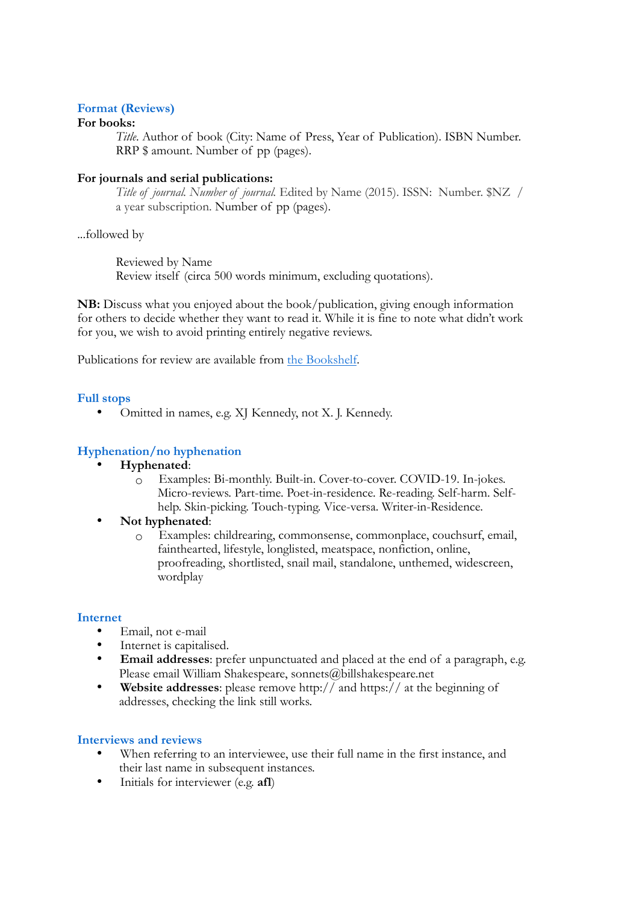## **Format (Reviews)**

## **For books:**

*Title*. Author of book (City: Name of Press, Year of Publication). ISBN Number. RRP \$ amount. Number of pp (pages).

#### **For journals and serial publications:**

*Title of journal. Number of journal.* Edited by Name (2015). ISSN: Number. \$NZ / a year subscription. Number of pp (pages).

...followed by

Reviewed by Name Review itself (circa 500 words minimum, excluding quotations).

**NB:** Discuss what you enjoyed about the book/publication, giving enough information for others to decide whether they want to read it. While it is fine to note what didn't work for you, we wish to avoid printing entirely negative reviews.

Publications for review are available from [the Bookshelf.](https://poetrysociety.org.nz/poems-reviews/books-available-for-review/)

#### **Full stops**

• Omitted in names, e.g. XJ Kennedy, not X. J. Kennedy.

## **Hyphenation/no hyphenation**

- **Hyphenated**:
	- o Examples: Bi-monthly. Built-in. Cover-to-cover. COVID-19. In-jokes. Micro-reviews. Part-time. Poet-in-residence. Re-reading. Self-harm. Selfhelp. Skin-picking. Touch-typing. Vice-versa. Writer-in-Residence.

#### • **Not hyphenated**:

o Examples: childrearing, commonsense, commonplace, couchsurf, email, fainthearted, lifestyle, longlisted, meatspace, nonfiction, online, proofreading, shortlisted, snail mail, standalone, unthemed, widescreen, wordplay

#### **Internet**

- Email, not e-mail
- Internet is capitalised.
- **Email addresses**: prefer unpunctuated and placed at the end of a paragraph, e.g. Please email William Shakespeare, sonnets@billshakespeare.net
- **Website addresses**: please remove http:// and https:// at the beginning of addresses, checking the link still works.

#### **Interviews and reviews**

- When referring to an interviewee, use their full name in the first instance, and their last name in subsequent instances.
- Initials for interviewer (e.g. **afl**)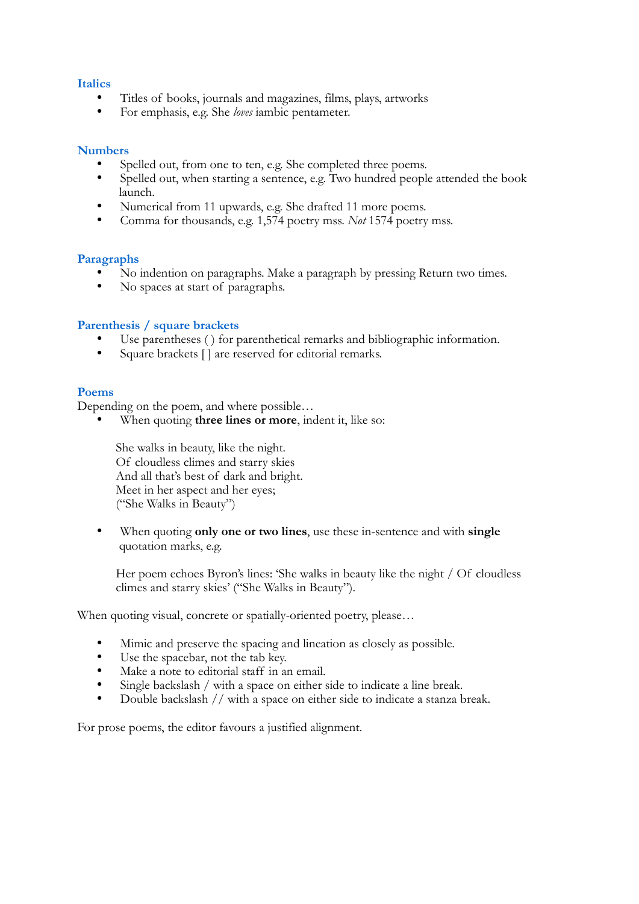## **Italics**

- Titles of books, journals and magazines, films, plays, artworks<br>• For emphasis a.g. She leve ignhic portameter
- For emphasis, e.g. She *loves* iambic pentameter.

#### **Numbers**

- Spelled out, from one to ten, e.g. She completed three poems.
- Spelled out, when starting a sentence, e.g. Two hundred people attended the book launch.
- Numerical from 11 upwards, e.g. She drafted 11 more poems.<br>• Comme for thousands, e.g.  $1.574$  poetry mss. Net 1574 poetry
- Comma for thousands, e.g. 1,574 poetry mss. *Not* 1574 poetry mss.

#### **Paragraphs**

- No indention on paragraphs. Make a paragraph by pressing Return two times.
- No spaces at start of paragraphs.

#### **Parenthesis / square brackets**

- Use parentheses () for parenthetical remarks and bibliographic information.<br>• Square brackets [] are reserved for editorial remarks
- Square brackets [] are reserved for editorial remarks.

#### **Poems**

Depending on the poem, and where possible...

When quoting **three lines or more**, indent it, like so:

She walks in beauty, like the night*.* Of cloudless climes and starry skies And all that's best of dark and bright. Meet in her aspect and her eyes; ("She Walks in Beauty")

• When quoting **only one or two lines**, use these in-sentence and with **single**  quotation marks, e.g.

Her poem echoes Byron's lines: 'She walks in beauty like the night / Of cloudless climes and starry skies' ("She Walks in Beauty").

When quoting visual, concrete or spatially-oriented poetry, please…

- Mimic and preserve the spacing and lineation as closely as possible.<br>• Use the spacebar, not the tab key
- Use the spacebar, not the tab key.
- Make a note to editorial staff in an email.
- Single backslash / with a space on either side to indicate a line break.<br>• Double backslash // with a space on either side to indicate a stanza h
- Double backslash // with a space on either side to indicate a stanza break.

For prose poems, the editor favours a justified alignment.